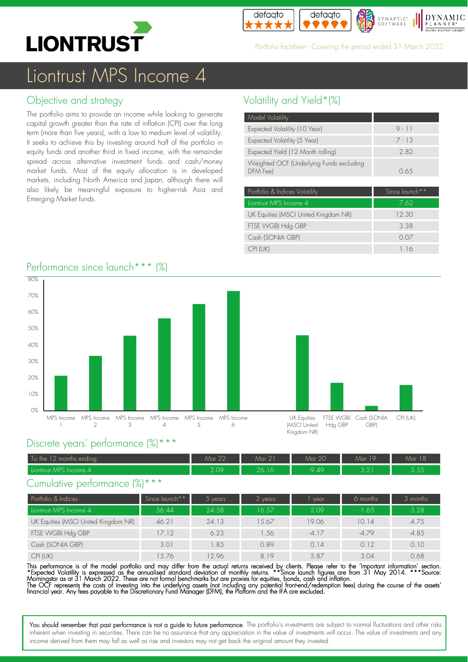



Portfolio factsheet + Covering the period ended 31 March 2022.

# Liontrust MPS Income 4

## Objective and strategy

The portfolio aims to provide an income while looking to generate capital growth greater than the rate of inflation (CPI) over the long term (more than five years), with a low to medium level of volatility. It seeks to achieve this by investing around half of the portfolio in equity funds and another third in fixed income, with the remainder spread across alternative investment funds and cash/money market funds. Most of the equity allocation is in developed markets, including North America and Japan, although there will also likely be meaningful exposure to higher-risk Asia and Emerging Market funds.

# Volatility and Yield\*(%)

| Model Volatility                                     |          |
|------------------------------------------------------|----------|
| Expected Volatility (10 Year)                        | $9 - 11$ |
| Expected Volatility (5 Year)                         | $7 - 13$ |
| Expected Yield (12 Month rolling)                    | 282      |
| Weighted OCF (Underlying Funds excluding<br>DFM Feel | O 6.5    |

| Portfolio & Indices Volatility       | Since launch <sup>**</sup> |
|--------------------------------------|----------------------------|
| Liontrust MPS Income 4               | 7.62                       |
| UK Equities (MSCI United Kingdom NR) | 12.30                      |
| FTSE WGBI Hdg GBP                    | 3.38                       |
| Cash (SONIA GBP)                     | 0.07                       |
| CPI (UK)                             | 116                        |

# Performance since launch<sup>\*\*\*</sup> (%) 80%



### Discrete years' performance (%)\*\*\*

| To the 12 months ending: | Mar 22 | Mar 21 | Mar 20  | Mar 19                        | $\overline{1}$ $\overline{0}$<br>Mar 18 |
|--------------------------|--------|--------|---------|-------------------------------|-----------------------------------------|
| Liontrust MPS Income 4   | 2.09   | 26.16  | $-9.49$ | $\cap$ $\cap$ $\cap$<br>U .∠. | つ どど<br>ت ب ن                           |

### Cumulative performance (%)\*\*\*

| Portfolio & Indices                  | Since launch** | vears <sup>1</sup> | $3$ years | vear    | 6 months | 3 months |
|--------------------------------------|----------------|--------------------|-----------|---------|----------|----------|
| Liontrust MPS Income 4               | 56.44          | 24.58              | 16.57     | 2.09    | $-1.65$  | $-3.28$  |
| UK Equities (MSCI United Kingdom NR) | 46.21          | 24.13              | 1.5.67    | 19.06   | 10.14    | 4.75     |
| FTSE WGBI Hdg GBP                    | 17.12          | 6.23               | .56       | $-4.17$ | $-4.79$  | $-4.85$  |
| Cash (SONIA GBP)                     | 3.01           | 1.85               | 0.89      | 0.14    | 0.12     | 0.10     |
| CPI (UK)                             | 5.76           | 2.96               | 819       | 5.87    | 3.04     | 0.68     |

This performance is of the model portfolio and may differ from the actual returns received by clients. Please refer to the 'Important information' section. \*Expected Volatility is expressed as the annualised standard deviation of monthly returns. \*\*Since launch tigures are from 31 May 2014. \*\*\*Source:<br>Morningstar as at 31 March 2022. These are not formal benchmarks but are pr The OCF represents the costs of investing into the underlying assets (not including any potential tront-end/redemption tees) during the course of the assets'<br>financial year. Any fees payable to the Discretionary Fund Manag

You should remember that past performance is not a guide to future performance. The portfolio's investments are subject to normal fluctuations and other risks inherent when investing in securities. There can be no assurance that any appreciation in the value of investments will occur. The value of investments and any income derived from them may fall as well as rise and investors may not get back the original amount they invested.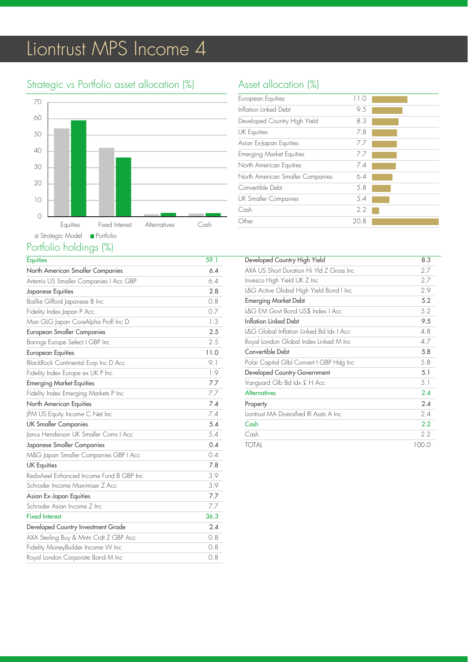# Liontrust MPS Income 4

# Strategic vs Portfolio asset allocation (%)



### Portfolio holdings (%)

| <b>Equities</b>                         | 59.1 |
|-----------------------------------------|------|
| North American Smaller Companies        | 6.4  |
| Artemis US Smaller Companies   Acc GBP  | 6.4  |
| Japanese Equities                       | 2.8  |
| Baillie Gifford Japanese B Inc          | 0.8  |
| Fidelity Index Japan P Acc              | 0.7  |
| Man GLG Japan CoreAlpha Profl Inc D     | 1.3  |
| <b>European Smaller Companies</b>       | 2.5  |
| Barings Europe Select I GBP Inc         | 2.5  |
| <b>European Equities</b>                | 11.0 |
| BlackRock Continental Eurp Inc D Acc    | 9.1  |
| Fidelity Index Europe ex UK P Inc       | 1.9  |
| <b>Emerging Market Equities</b>         | 7.7  |
| Fidelity Index Emerging Markets P Inc   | 7.7  |
| North American Equities                 | 7.4  |
| JPM US Equity Income C Net Inc          | 7.4  |
| <b>UK Smaller Companies</b>             | 5.4  |
| Janus Henderson UK Smaller Coms I Acc   | 5.4  |
| Japanese Smaller Companies              | 0.4  |
| M&G Japan Smaller Companies GBP   Acc   | 0.4  |
| <b>UK Equities</b>                      | 7.8  |
| Redwheel Enhanced Income Fund B GBP Inc | 3.9  |
| Schroder Income Maximiser Z Acc         | 3.9  |
| Asian Ex-Japan Equities                 | 7.7  |
| Schroder Asian Income 7 Inc.            | 7.7  |
| <b>Fixed Interest</b>                   | 36.3 |
| Developed Country Investment Grade      | 2.4  |
| AXA Sterling Buy & Mntn Crdt Z GBP Acc  | 0.8  |
| Fidelity MoneyBuilder Income W Inc      | 0.8  |
| Royal London Corporate Bond M Inc       | 0.8  |

# Asset allocation (%)

| European Equities                | 11.0 |  |
|----------------------------------|------|--|
| Inflation Linked Debt            | 9.5  |  |
| Developed Country High Yield     | 8.3  |  |
| <b>UK Equities</b>               | 7.8  |  |
| Asian Ex-Japan Equities          | 7.7  |  |
| <b>Emerging Market Equities</b>  | 7.7  |  |
| North American Equities          | 7.4  |  |
| North American Smaller Companies | 6.4  |  |
| Convertible Debt                 | 5.8  |  |
| UK Smaller Companies             | 5.4  |  |
| Cash                             | 2.2  |  |
| Other                            | 20.8 |  |
|                                  |      |  |

| Developed Country High Yield             | 8.3   |
|------------------------------------------|-------|
| AXA US Short Duration Hi Yld Z Gross Inc | 2.7   |
| Invesco High Yield UK Z Inc              | 2.7   |
| L&G Active Global High Yield Bond I Inc  | 2.9   |
| <b>Emerging Market Debt</b>              | 5.2   |
| L&G EM Govt Bond US\$ Index   Acc        | 5.2   |
| Inflation Linked Debt                    | 9.5   |
| L&G Global Inflation Linked Bd Idx I Acc | 4.8   |
| Royal London Global Index Linked M Inc   | 4.7   |
| Convertible Debt                         | 5.8   |
| Polar Capital Glbl Convert I GBP Hdg Inc | 5.8   |
| Developed Country Government             | 5.1   |
| Vanguard Glb Bd Idx £ H Acc              | 5.1   |
| <b>Alternatives</b>                      | 2.4   |
| Property                                 | 2.4   |
| Liontrust MA Diversified RI Assts A Inc  | 2.4   |
| Cash                                     | 2.2   |
| Cash                                     | 2.2   |
| <b>TOTAL</b>                             | 100.0 |